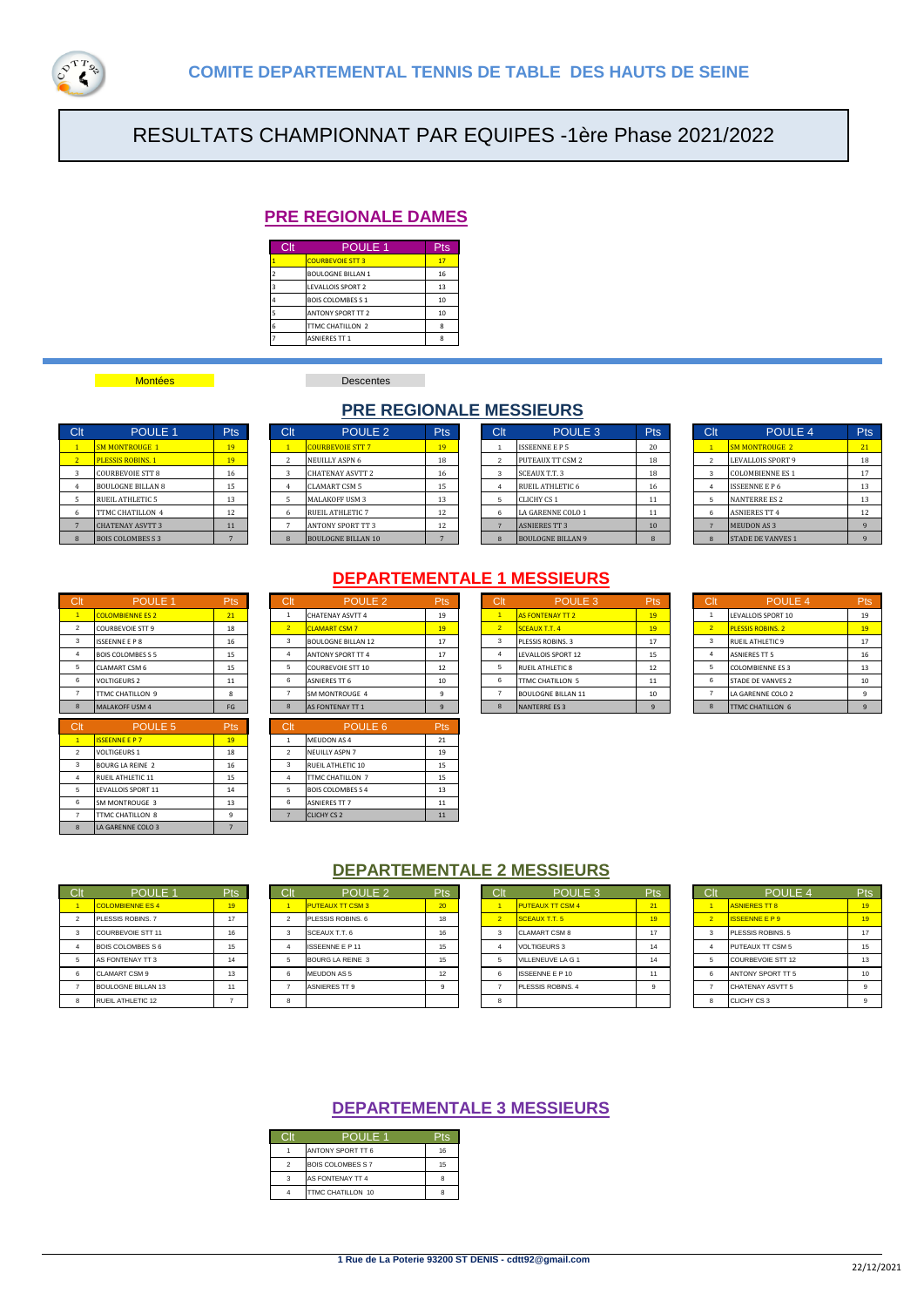

# RESULTATS CHAMPIONNAT PAR EQUIPES -1ère Phase 2021/2022

# **PRE REGIONALE DAMES**

| Clt | <b>POULE 1</b>           |    |  |  |  |  |  |  |
|-----|--------------------------|----|--|--|--|--|--|--|
|     | <b>COURBEVOIE STT 3</b>  | 17 |  |  |  |  |  |  |
|     | <b>BOULOGNE BILLAN 1</b> | 16 |  |  |  |  |  |  |
|     | LEVALLOIS SPORT 2        |    |  |  |  |  |  |  |
|     | <b>BOIS COLOMBES S 1</b> | 10 |  |  |  |  |  |  |
|     | <b>ANTONY SPORT TT 2</b> | 10 |  |  |  |  |  |  |
|     | TTMC CHATILLON 2         | Ŕ  |  |  |  |  |  |  |
|     | <b>ASNIERES TT 1</b>     | я  |  |  |  |  |  |  |

# **Montées Descentes**

# **PRE REGIONALE MESSIEURS**

| <b>SM MONTROUGE 1</b> | 19                                                                                                                                                                             |
|-----------------------|--------------------------------------------------------------------------------------------------------------------------------------------------------------------------------|
|                       | 19                                                                                                                                                                             |
|                       | 16                                                                                                                                                                             |
|                       | 15                                                                                                                                                                             |
|                       | 13                                                                                                                                                                             |
|                       | 12                                                                                                                                                                             |
|                       | 11                                                                                                                                                                             |
|                       |                                                                                                                                                                                |
|                       | <b>PLESSIS ROBINS. 1</b><br><b>COURBEVOIE STT 8</b><br><b>BOULOGNE BILLAN 8</b><br>RUEIL ATHLETIC 5<br>TTMC CHATILLON 4<br><b>CHATENAY ASVTT 3</b><br><b>BOIS COLOMBES S 3</b> |

| Clt | POULE <sub>1</sub>       | <b>Pts</b> | Clt | POULE <sub>2</sub>        | <b>Pts</b> | Clt | POULE 3                  | <b>Pts</b> | Clt | POULE 4                  | Pts |
|-----|--------------------------|------------|-----|---------------------------|------------|-----|--------------------------|------------|-----|--------------------------|-----|
|     | <b>SM MONTROUGE 1</b>    | 19         |     | <b>COURBEVOIE STT 7</b>   | 19         |     | <b>ISSEENNE E P 5</b>    | 20         |     | <b>SM MONTROUGE 2</b>    | 21  |
|     | <b>PLESSIS ROBINS. 1</b> | 19         |     | <b>NEUILLY ASPN 6</b>     | 18         |     | PUTEAUX TT CSM 2         | 18         |     | LEVALLOIS SPORT 9        | 18  |
|     | <b>COURBEVOIE STT 8</b>  | 16         |     | <b>CHATENAY ASVTT 2</b>   | 16         |     | SCEAUX T.T. 3            | 18         |     | <b>COLOMBIENNE ES 1</b>  | 17  |
|     | <b>BOULOGNE BILLAN 8</b> | 15         |     | <b>CLAMART CSM 5</b>      | 15         |     | RUEIL ATHLETIC 6         | 16         |     | <b>ISSEENNE E P 6</b>    | 13  |
|     | <b>RUEIL ATHLETIC 5</b>  | 13         |     | <b>MALAKOFF USM 3</b>     | 13         |     | <b>CLICHY CS 1</b>       | 11         |     | <b>NANTERRE ES 2</b>     | 13  |
| 6   | TTMC CHATILLON 4         | 12         |     | <b>RUEIL ATHLETIC 7</b>   | 12         |     | <b>LA GARENNE COLO 1</b> | 11         |     | <b>ASNIERES TT 4</b>     | 12  |
|     | <b>CHATENAY ASVTT 3</b>  | 11         |     | <b>ANTONY SPORT TT 3</b>  | 12         |     | <b>ASNIERES TT 3</b>     | 10         |     | <b>MEUDON AS 3</b>       |     |
|     | <b>BOIS COLOMBES S 3</b> |            |     | <b>BOULOGNE BILLAN 10</b> |            |     | <b>BOULOGNE BILLAN 9</b> |            |     | <b>STADE DE VANVES 1</b> |     |

| Clt            | <b>POULE 3</b>           | <b>Pts</b> |
|----------------|--------------------------|------------|
|                | <b>ISSEENNE E P 5</b>    | 20         |
| $\mathfrak{p}$ | <b>PUTEAUX TT CSM 2</b>  | 18         |
| 3              | <b>SCEAUX T.T.3</b>      | 18         |
| 4              | RUEIL ATHLETIC 6         | 16         |
| 5              | CLICHY CS 1              | 11         |
| 6              | LA GARENNE COLO 1        | 11         |
|                | <b>ASNIERES TT 3</b>     | 10         |
| 8              | <b>BOULOGNE BILLAN 9</b> | 8          |

| Clt            | <b>POULE 4</b>           | Pts |  |  |  |  |  |
|----------------|--------------------------|-----|--|--|--|--|--|
|                | <b>SM MONTROUGE 2</b>    | 21  |  |  |  |  |  |
| $\overline{2}$ | <b>LEVALLOIS SPORT 9</b> | 18  |  |  |  |  |  |
| 3              | <b>COLOMBIENNE ES 1</b>  |     |  |  |  |  |  |
| 4              | <b>ISSEENNE E P 6</b>    | 13  |  |  |  |  |  |
| 5              | <b>NANTERRE ES 2</b>     | 13  |  |  |  |  |  |
| 6              | <b>ASNIERES TT 4</b>     | 12  |  |  |  |  |  |
|                | <b>MEUDON AS 3</b>       | 9   |  |  |  |  |  |
| 8              | <b>STADE DE VANVES 1</b> | a   |  |  |  |  |  |

| $\sim$         |                          | .          | ◡               | 1 V V L L L               | . .                              |
|----------------|--------------------------|------------|-----------------|---------------------------|----------------------------------|
| 1              | <b>COLOMBIENNE ES 2</b>  | 21         | $\mathbf{1}$    | <b>CHATENAY ASVTT 4</b>   | 19                               |
| $\mathfrak{p}$ | <b>COURBEVOIE STT 9</b>  | 18         | $\overline{2}$  | <b>CLAMART CSM 7</b>      | 19                               |
| 3              | <b>ISSEENNE E P 8</b>    | 16         | 3               | <b>BOULOGNE BILLAN 12</b> | 17                               |
| 4              | <b>BOIS COLOMBES S 5</b> | 15         | 4               | <b>ANTONY SPORT TT 4</b>  | 17                               |
| 5              | <b>CLAMART CSM 6</b>     | 15         | 5               | <b>COURBEVOIE STT 10</b>  | 12                               |
| 6              | <b>VOLTIGEURS 2</b>      | 11         | 6               | <b>ASNIERES TT 6</b>      | 10                               |
| $\overline{7}$ | TTMC CHATILLON 9         | 8          | $\overline{7}$  | SM MONTROUGE 4            | 9                                |
| 8              | <b>MALAKOFF USM 4</b>    | FG         | 8               | <b>AS FONTENAY TT 1</b>   | $\overline{9}$                   |
|                |                          |            |                 |                           |                                  |
| Clt            | POULE <sub>5</sub>       | <b>Pts</b> | C <sub>it</sub> | POULE <sub>6</sub>        | Pts                              |
| $\overline{1}$ | <b>ISSEENNE E P 7</b>    | 19         | 1               | MEUDON AS 4               | 21                               |
| $\overline{2}$ | <b>VOLTIGEURS 1</b>      | 18         | $\overline{2}$  | <b>NEUILLY ASPN 7</b>     |                                  |
| 3              | <b>BOURG LA REINE 2</b>  | 16         | 3               | RUEIL ATHLETIC 10         |                                  |
| 4              | RUEIL ATHLETIC 11        | 15         | 4               | TTMC CHATILLON 7          |                                  |
| 5              | LEVALLOIS SPORT 11       | 14         | 5               | <b>BOIS COLOMBES S 4</b>  |                                  |
| 6              | SM MONTROUGE 3           | 13         | 6               | <b>ASNIERES TT 7</b>      |                                  |
| $\overline{7}$ | TTMC CHATILLON 8         | 9          | $\overline{7}$  | <b>CLICHY CS 2</b>        | 19<br>15<br>15<br>13<br>11<br>11 |

# **DEPARTEMENTALE 1 MESSIEURS**

| Clt | POULE <sub>1</sub>       | Pts | Clt            | POULE <sub>2</sub>        | Pts | Clt           | POULE <sub>3</sub>        | Pts | Clt | POULE 4                  | Pts      |
|-----|--------------------------|-----|----------------|---------------------------|-----|---------------|---------------------------|-----|-----|--------------------------|----------|
|     | <b>COLOMBIENNE ES 2</b>  | 21  |                | <b>CHATENAY ASVTT 4</b>   | 19  |               | <b>AS FONTENAY TT 2</b>   | 19  |     | LEVALLOIS SPORT 10       | 19       |
|     | <b>COURBEVOIE STT 9</b>  | 18  | 2 <sup>2</sup> | <b>CLAMART CSM 7</b>      | 19  | $\mathcal{P}$ | <b>SCEAUX T.T. 4</b>      | 19  |     | <b>PLESSIS ROBINS, 2</b> | 19       |
| 3   | <b>ISSEENNE E P 8</b>    | 16  |                | <b>BOULOGNE BILLAN 12</b> | 17  |               | PLESSIS ROBINS, 3         | 17  |     | <b>RUEIL ATHLETIC 9</b>  | 17       |
|     | <b>BOIS COLOMBES S 5</b> | 15  |                | <b>ANTONY SPORT TT 4</b>  | 17  |               | <b>LEVALLOIS SPORT 12</b> | 15  |     | <b>ASNIERES TT 5</b>     | 16       |
| 5   | <b>CLAMART CSM 6</b>     | 15  |                | <b>COURBEVOIE STT 10</b>  | 12  |               | <b>RUEIL ATHLETIC 8</b>   | 12  |     | <b>COLOMBIENNE ES 3</b>  | 13       |
| 6   | <b>VOLTIGEURS 2</b>      | 11  |                | <b>ASNIERES TT 6</b>      | 10  |               | TTMC CHATILLON 5          | 11  |     | <b>STADE DE VANVES 2</b> | 10       |
|     | <b>ITTMC CHATILLON 9</b> |     |                | SM MONTROUGE 4            |     |               | <b>BOULOGNE BILLAN 11</b> | 10  |     | LA GARENNE COLO 2        | <b>q</b> |
| 8   | MALAKOFF USM 4           | FG  |                | <b>AS FONTENAY TT 1</b>   |     |               | <b>NANTERREES 3</b>       |     |     | <b>TTMC CHATILLON 6</b>  |          |
|     |                          |     |                |                           |     |               |                           |     |     |                          |          |

| D.lt           | POULE <sub>6</sub>       | 'ts |
|----------------|--------------------------|-----|
|                | MEUDON AS 4              | 21  |
| $\mathfrak{p}$ | <b>NEUILLY ASPN 7</b>    | 19  |
| 3              | RUEIL ATHLETIC 10        | 15  |
|                | TTMC CHATILLON 7         | 15  |
| 5              | <b>BOIS COLOMBES S 4</b> | 13  |
| 6              | <b>ASNIERES TT 7</b>     | 11  |
|                | <b>CLICHY CS 2</b>       | 11  |

| C <sub>It</sub> | POULE <sub>3</sub>        | Pts |
|-----------------|---------------------------|-----|
|                 | <b>AS FONTENAY TT 2</b>   | 19  |
| $\overline{2}$  | <b>SCEAUX T.T. 4</b>      | 19  |
| 3               | PLESSIS ROBINS, 3         | 17  |
| $\overline{4}$  | LEVALLOIS SPORT 12        | 15  |
| 5               | RUEIL ATHLETIC 8          | 12  |
| 6               | TTMC CHATILLON 5          | 11  |
|                 | <b>BOULOGNE BILLAN 11</b> | 10  |
| $\mathbf{8}$    | <b>NANTERREES3</b>        | 9   |

| C <sub>It</sub> | POULE <sub>4</sub>       | Pts |
|-----------------|--------------------------|-----|
|                 | LEVALLOIS SPORT 10       | 19  |
| $\overline{2}$  | <b>PLESSIS ROBINS, 2</b> | 19  |
| 3               | RUEIL ATHLETIC 9         | 17  |
| 4               | <b>ASNIERES TT 5</b>     | 16  |
| 5               | <b>COLOMBIENNE ES 3</b>  | 13  |
| 6               | <b>STADE DE VANVES 2</b> | 10  |
|                 | LA GARENNE COLO 2        | 9   |
| 8               | TTMC CHATILLON 6         | q   |

### **DEPARTEMENTALE 2 MESSIEURS**

| Clt' | POULE <sub>1</sub>      | <b>Pts</b> | Clt    | POULE <sub>2</sub>      | Pts | Clt | POULE <sub>3</sub>      | Pts <sup>'</sup> | Clt | POULE <sub>4</sub>    | Pts              |
|------|-------------------------|------------|--------|-------------------------|-----|-----|-------------------------|------------------|-----|-----------------------|------------------|
|      | <b>COLOMBIENNE ES 4</b> | 19         |        | <b>PUTEAUX TT CSM 3</b> | 20  |     | <b>PUTEAUX TT CSM 4</b> | 21               |     | <b>ASNIERES TT 8</b>  | 19               |
|      | PLESSIS ROBINS, 7       | 17         |        | PLESSIS ROBINS, 6       | 18  |     | SCEAUX T.T. 5           | 19               |     | <b>ISSEENNE E P 9</b> | 19               |
| 3    | COURBEVOIF STT 11       | 16         | 3      | SCEAUX T.T. 6           | 16  |     | <b>CLAMART CSM 8</b>    | 17               |     | PLESSIS ROBINS, 5     | 17               |
|      | BOIS COLOMBES S 6       | 15         |        | <b>ISSEENNE E P 11</b>  | 15  |     | VOLTIGEURS 3            | 14               |     | PUTEAUX TT CSM 5      | 15               |
|      | AS FONTENAY TT 3        | 14         |        | BOURG LA REINE 3        | 15  |     | VILLENEUVE LA G 1       | 14               |     | COURBEVOIE STT 12     | 13               |
| 6    | <b>CLAMART CSM 9</b>    | 13         | 6      | <b>MEUDON AS 5</b>      | 12  |     | <b>ISSEENNE E P 10</b>  |                  |     | ANTONY SPORT TT 5     | 10 <sup>10</sup> |
|      | BOULOGNE BILLAN 13      | 11         |        | <b>ASNIERES TT 9</b>    |     |     | PLESSIS ROBINS, 4       |                  |     | CHATENAY ASVTT 5      |                  |
| 8    | RUEIL ATHLETIC 12       |            | $\sim$ |                         |     |     |                         |                  |     | CLICHY CS 3           |                  |

|                | POULE <sub>3</sub>      |    |
|----------------|-------------------------|----|
|                | <b>PUTEAUX TT CSM 4</b> | 21 |
| $\overline{2}$ | <b>SCEAUX T.T. 5</b>    | 19 |
| 3              | <b>CLAMART CSM 8</b>    | 17 |
| 4              | <b>VOLTIGEURS 3</b>     | 14 |
| 5              | VILLENEUVE LA G 1       | 14 |
| 6              | <b>ISSEENNE E P 10</b>  | 11 |
|                | PLESSIS ROBINS, 4       | 9  |
| Ŕ              |                         |    |

|                | POULE 4               | 'ts          |
|----------------|-----------------------|--------------|
|                | <b>ASNIERES TT 8</b>  | 19           |
| $\overline{2}$ | <b>ISSEENNE E P 9</b> | 19           |
| 3              | PLESSIS ROBINS, 5     | 17           |
| Δ              | PUTEAUX TT CSM 5      | 15           |
| 5              | COURBEVOIE STT 12     | 13           |
| 6              | ANTONY SPORT TT 5     | 10           |
|                | CHATENAY ASVTT 5      | $\mathbf{q}$ |
| Ŕ              | CLICHY CS 3           | q            |

## **DEPARTEMENTALE 3 MESSIEURS**

|   | POULE 1                  |    |
|---|--------------------------|----|
|   | ANTONY SPORT TT 6        | 16 |
| 2 | <b>BOIS COLOMBES S 7</b> | 15 |
| я | AS FONTENAY TT 4         |    |
|   | TTMC CHATILLON 10        |    |